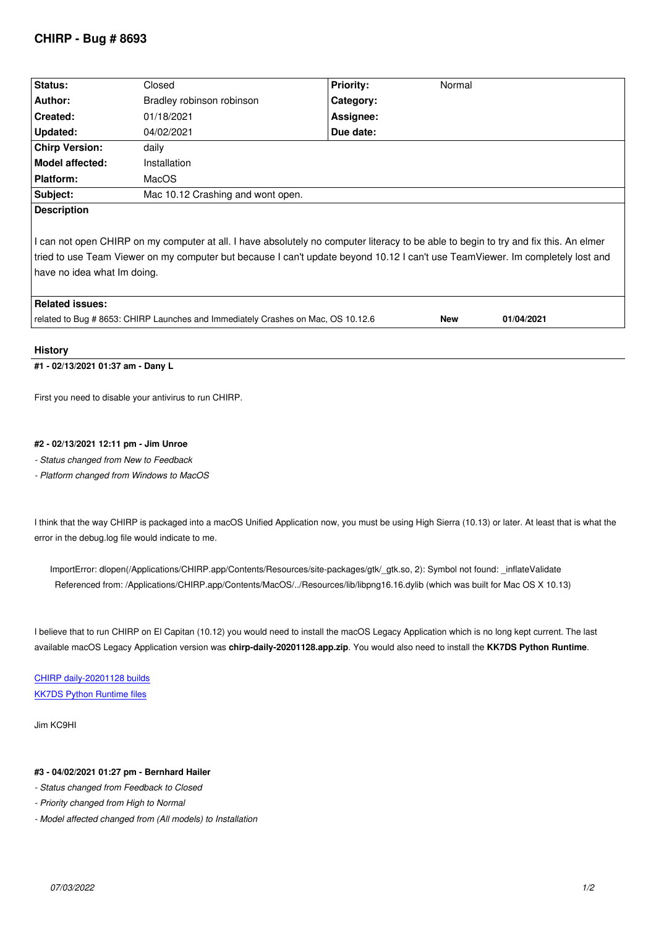| <b>Status:</b>                                                                                                                                                                                                                                                                                        | Closed                                                                          | <b>Priority:</b> | Normal |            |
|-------------------------------------------------------------------------------------------------------------------------------------------------------------------------------------------------------------------------------------------------------------------------------------------------------|---------------------------------------------------------------------------------|------------------|--------|------------|
| Author:                                                                                                                                                                                                                                                                                               | Bradley robinson robinson                                                       | Category:        |        |            |
| Created:                                                                                                                                                                                                                                                                                              | 01/18/2021                                                                      | Assignee:        |        |            |
| Updated:                                                                                                                                                                                                                                                                                              | 04/02/2021                                                                      | Due date:        |        |            |
| <b>Chirp Version:</b>                                                                                                                                                                                                                                                                                 | daily                                                                           |                  |        |            |
| <b>Model affected:</b>                                                                                                                                                                                                                                                                                | Installation                                                                    |                  |        |            |
| <b>Platform:</b>                                                                                                                                                                                                                                                                                      | MacOS                                                                           |                  |        |            |
| Subject:                                                                                                                                                                                                                                                                                              | Mac 10.12 Crashing and wont open.                                               |                  |        |            |
| <b>Description</b>                                                                                                                                                                                                                                                                                    |                                                                                 |                  |        |            |
| I can not open CHIRP on my computer at all. I have absolutely no computer literacy to be able to begin to try and fix this. An elmer<br>tried to use Team Viewer on my computer but because I can't update beyond 10.12 I can't use TeamViewer. Im completely lost and<br>have no idea what Im doing. |                                                                                 |                  |        |            |
| <b>Related issues:</b>                                                                                                                                                                                                                                                                                |                                                                                 |                  |        |            |
|                                                                                                                                                                                                                                                                                                       | related to Bug #8653: CHIRP Launches and Immediately Crashes on Mac, OS 10.12.6 |                  | New    | 01/04/2021 |

## **History**

## **#1 - 02/13/2021 01:37 am - Dany L**

*First you need to disable your antivirus to run CHIRP.*

## **#2 - 02/13/2021 12:11 pm - Jim Unroe**

*- Status changed from New to Feedback*

*- Platform changed from Windows to MacOS*

*I think that the way CHIRP is packaged into a macOS Unified Application now, you must be using High Sierra (10.13) or later. At least that is what the error in the debug.log file would indicate to me.*

*ImportError: dlopen(/Applications/CHIRP.app/Contents/Resources/site-packages/gtk/\_gtk.so, 2): Symbol not found: \_inflateValidate Referenced from: /Applications/CHIRP.app/Contents/MacOS/../Resources/lib/libpng16.16.dylib (which was built for Mac OS X 10.13)*

*I believe that to run CHIRP on El Capitan (10.12) you would need to install the macOS Legacy Application which is no long kept current. The last available macOS Legacy Application version was* **chirp-daily-20201128.app.zip***. You would also need to install the* **KK7DS Python Runtime***.*

*CHIRP daily-20201128 builds KK7DS Python Runtime files*

*[Jim KC9HI](https://trac.chirp.danplanet.com/chirp_daily/daily-20201128/)*

## **#3 - 04/02/2021 01:27 pm - Bernhard Hailer**

- *Status changed from Feedback to Closed*
- *Priority changed from High to Normal*
- *Model affected changed from (All models) to Installation*